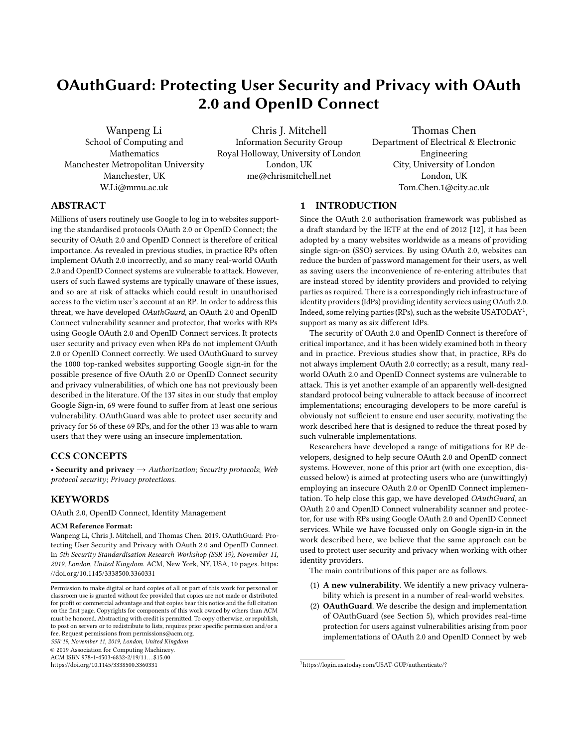# <span id="page-0-1"></span>OAuthGuard: Protecting User Security and Privacy with OAuth 2.0 and OpenID Connect

Wanpeng Li School of Computing and Mathematics Manchester Metropolitan University Manchester, UK W.Li@mmu.ac.uk

Chris J. Mitchell Information Security Group Royal Holloway, University of London London, UK me@chrismitchell.net

Thomas Chen Department of Electrical & Electronic Engineering City, University of London London, UK Tom.Chen.1@city.ac.uk

## ABSTRACT

Millions of users routinely use Google to log in to websites supporting the standardised protocols OAuth 2.0 or OpenID Connect; the security of OAuth 2.0 and OpenID Connect is therefore of critical importance. As revealed in previous studies, in practice RPs often implement OAuth 2.0 incorrectly, and so many real-world OAuth 2.0 and OpenID Connect systems are vulnerable to attack. However, users of such flawed systems are typically unaware of these issues, and so are at risk of attacks which could result in unauthorised access to the victim user's account at an RP. In order to address this threat, we have developed OAuthGuard, an OAuth 2.0 and OpenID Connect vulnerability scanner and protector, that works with RPs using Google OAuth 2.0 and OpenID Connect services. It protects user security and privacy even when RPs do not implement OAuth 2.0 or OpenID Connect correctly. We used OAuthGuard to survey the 1000 top-ranked websites supporting Google sign-in for the possible presence of five OAuth 2.0 or OpenID Connect security and privacy vulnerabilities, of which one has not previously been described in the literature. Of the 137 sites in our study that employ Google Sign-in, 69 were found to suffer from at least one serious vulnerability. OAuthGuard was able to protect user security and privacy for 56 of these 69 RPs, and for the other 13 was able to warn users that they were using an insecure implementation.

## CCS CONCEPTS

• Security and privacy  $\rightarrow$  Authorization; Security protocols; Web protocol security; Privacy protections.

# **KEYWORDS**

OAuth 2.0, OpenID Connect, Identity Management

#### ACM Reference Format:

Wanpeng Li, Chris J. Mitchell, and Thomas Chen. 2019. OAuthGuard: Protecting User Security and Privacy with OAuth 2.0 and OpenID Connect. In 5th Security Standardisation Research Workshop (SSR'19), November 11, 2019, London, United Kingdom. ACM, New York, NY, USA, [10](#page-9-0) pages. [https:](https://doi.org/10.1145/3338500.3360331) [//doi.org/10.1145/3338500.3360331](https://doi.org/10.1145/3338500.3360331)

SSR'19, November 11, 2019, London, United Kingdom

© 2019 Association for Computing Machinery.

ACM ISBN 978-1-4503-6832-2/19/11...\$15.00

<https://doi.org/10.1145/3338500.3360331>

## 1 INTRODUCTION

Since the OAuth 2.0 authorisation framework was published as a draft standard by the IETF at the end of 2012 [\[12\]](#page-8-0), it has been adopted by a many websites worldwide as a means of providing single sign-on (SSO) services. By using OAuth 2.0, websites can reduce the burden of password management for their users, as well as saving users the inconvenience of re-entering attributes that are instead stored by identity providers and provided to relying parties as required. There is a correspondingly rich infrastructure of identity providers (IdPs) providing identity services using OAuth 2.0. Indeed, some relying parties (RPs), such as the website USATODAY<sup>[1](#page-0-0)</sup>, support as many as six different IdPs.

The security of OAuth 2.0 and OpenID Connect is therefore of critical importance, and it has been widely examined both in theory and in practice. Previous studies show that, in practice, RPs do not always implement OAuth 2.0 correctly; as a result, many realworld OAuth 2.0 and OpenID Connect systems are vulnerable to attack. This is yet another example of an apparently well-designed standard protocol being vulnerable to attack because of incorrect implementations; encouraging developers to be more careful is obviously not sufficient to ensure end user security, motivating the work described here that is designed to reduce the threat posed by such vulnerable implementations.

Researchers have developed a range of mitigations for RP developers, designed to help secure OAuth 2.0 and OpenID connect systems. However, none of this prior art (with one exception, discussed below) is aimed at protecting users who are (unwittingly) employing an insecure OAuth 2.0 or OpenID Connect implementation. To help close this gap, we have developed OAuthGuard, an OAuth 2.0 and OpenID Connect vulnerability scanner and protector, for use with RPs using Google OAuth 2.0 and OpenID Connect services. While we have focussed only on Google sign-in in the work described here, we believe that the same approach can be used to protect user security and privacy when working with other identity providers.

The main contributions of this paper are as follows.

- (1) A new vulnerability. We identify a new privacy vulnerability which is present in a number of real-world websites.
- (2) OAuthGuard. We describe the design and implementation of OAuthGuard (see Section [5\)](#page-4-0), which provides real-time protection for users against vulnerabilities arising from poor implementations of OAuth 2.0 and OpenID Connect by web

Permission to make digital or hard copies of all or part of this work for personal or classroom use is granted without fee provided that copies are not made or distributed for profit or commercial advantage and that copies bear this notice and the full citation on the first page. Copyrights for components of this work owned by others than ACM must be honored. Abstracting with credit is permitted. To copy otherwise, or republish, to post on servers or to redistribute to lists, requires prior specific permission and/or a fee. Request permissions from permissions@acm.org.

<span id="page-0-0"></span><sup>1</sup><https://login.usatoday.com/USAT-GUP/authenticate/?>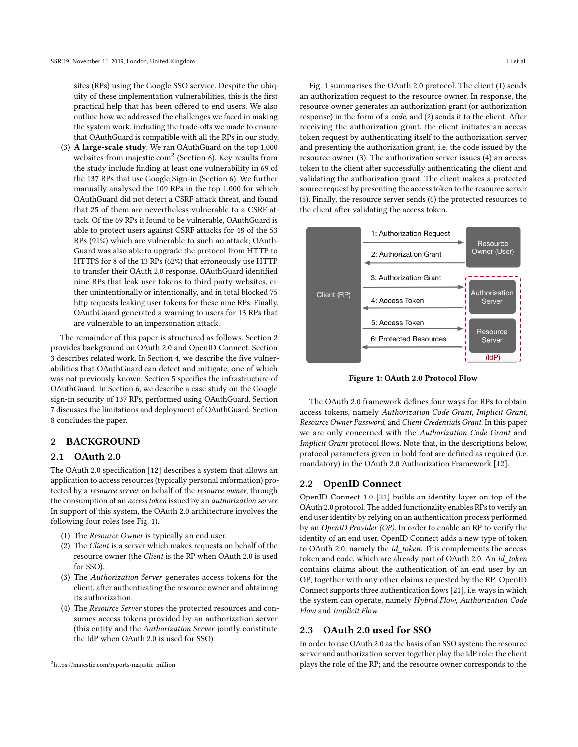sites (RPs) using the Google SSO service. Despite the ubiquity of these implementation vulnerabilities, this is the first practical help that has been offered to end users. We also outline how we addressed the challenges we faced in making the system work, including the trade-offs we made to ensure that OAuthGuard is compatible with all the RPs in our study.

(3) A large-scale study. We ran OAuthGuard on the top 1,000 websites from<majestic.com><sup>[2](#page-1-0)</sup> (Section [6\)](#page-6-0). Key results from the study include finding at least one vulnerability in 69 of the 137 RPs that use Google Sign-in (Section [6\)](#page-6-0). We further manually analysed the 109 RPs in the top 1,000 for which OAuthGuard did not detect a CSRF attack threat, and found that 25 of them are nevertheless vulnerable to a CSRF attack. Of the 69 RPs it found to be vulnerable, OAuthGuard is able to protect users against CSRF attacks for 48 of the 53 RPs (91%) which are vulnerable to such an attack; OAuth-Guard was also able to upgrade the protocol from HTTP to HTTPS for 8 of the 13 RPs (62%) that erroneously use HTTP to transfer their OAuth 2.0 response. OAuthGuard identified nine RPs that leak user tokens to third party websites, either unintentionally or intentionally, and in total blocked 75 http requests leaking user tokens for these nine RPs. Finally, OAuthGuard generated a warning to users for 13 RPs that are vulnerable to an impersonation attack.

The remainder of this paper is structured as follows. Section [2](#page-1-1) provides background on OAuth 2.0 and OpenID Connect. Section [3](#page-2-0) describes related work. In Section [4,](#page-3-0) we describe the five vulnerabilities that OAuthGuard can detect and mitigate, one of which was not previously known. Section [5](#page-4-0) specifies the infrastructure of OAuthGuard. In Section [6,](#page-6-0) we describe a case study on the Google sign-in security of 137 RPs, performed using OAuthGuard. Section [7](#page-6-1) discusses the limitations and deployment of OAuthGuard. Section [8](#page-8-1) concludes the paper.

## <span id="page-1-1"></span>2 BACKGROUND

#### 2.1 OAuth 2.0

The OAuth 2.0 specification [\[12\]](#page-8-0) describes a system that allows an application to access resources (typically personal information) protected by a resource server on behalf of the resource owner, through the consumption of an access token issued by an authorization server. In support of this system, the OAuth 2.0 architecture involves the following four roles (see Fig. [1\)](#page-1-2).

- (1) The Resource Owner is typically an end user.
- (2) The Client is a server which makes requests on behalf of the resource owner (the Client is the RP when OAuth 2.0 is used for SSO).
- (3) The Authorization Server generates access tokens for the client, after authenticating the resource owner and obtaining its authorization.
- (4) The Resource Server stores the protected resources and consumes access tokens provided by an authorization server (this entity and the Authorization Server jointly constitute the IdP when OAuth 2.0 is used for SSO).

Fig. [1](#page-1-2) summarises the OAuth 2.0 protocol. The client (1) sends an authorization request to the resource owner. In response, the resource owner generates an authorization grant (or authorization response) in the form of a code, and (2) sends it to the client. After receiving the authorization grant, the client initiates an access token request by authenticating itself to the authorization server and presenting the authorization grant, i.e. the code issued by the resource owner (3). The authorization server issues (4) an access token to the client after successfully authenticating the client and validating the authorization grant. The client makes a protected source request by presenting the access token to the resource server (5). Finally, the resource server sends (6) the protected resources to the client after validating the access token.

<span id="page-1-2"></span>

Figure 1: OAuth 2.0 Protocol Flow

The OAuth 2.0 framework defines four ways for RPs to obtain access tokens, namely Authorization Code Grant, Implicit Grant, Resource Owner Password, and Client Credentials Grant. In this paper we are only concerned with the Authorization Code Grant and Implicit Grant protocol flows. Note that, in the descriptions below, protocol parameters given in bold font are defined as required (i.e. mandatory) in the OAuth 2.0 Authorization Framework [\[12\]](#page-8-0).

## 2.2 OpenID Connect

OpenID Connect 1.0 [\[21\]](#page-8-2) builds an identity layer on top of the OAuth 2.0 protocol. The added functionality enables RPs to verify an end user identity by relying on an authentication process performed by an OpenID Provider (OP). In order to enable an RP to verify the identity of an end user, OpenID Connect adds a new type of token to OAuth 2.0, namely the id\_token. This complements the access token and code, which are already part of OAuth 2.0. An id\_token contains claims about the authentication of an end user by an OP, together with any other claims requested by the RP. OpenID Connect supports three authentication flows [\[21\]](#page-8-2), i.e. ways in which the system can operate, namely Hybrid Flow, Authorization Code Flow and Implicit Flow.

## <span id="page-1-3"></span>2.3 OAuth 2.0 used for SSO

In order to use OAuth 2.0 as the basis of an SSO system: the resource server and authorization server together play the IdP role; the client plays the role of the RP; and the resource owner corresponds to the

<span id="page-1-0"></span><sup>2</sup><https://majestic.com/reports/majestic-million>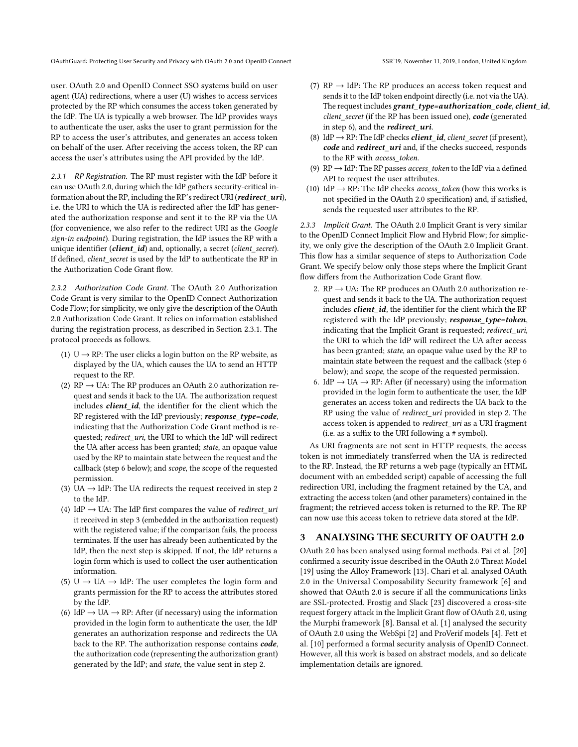user. OAuth 2.0 and OpenID Connect SSO systems build on user agent (UA) redirections, where a user (U) wishes to access services protected by the RP which consumes the access token generated by the IdP. The UA is typically a web browser. The IdP provides ways to authenticate the user, asks the user to grant permission for the RP to access the user's attributes, and generates an access token on behalf of the user. After receiving the access token, the RP can access the user's attributes using the API provided by the IdP.

<span id="page-2-1"></span>2.3.1 RP Registration. The RP must register with the IdP before it can use OAuth 2.0, during which the IdP gathers security-critical information about the RP, including the RP's redirect URI (redirect\_uri), i.e. the URI to which the UA is redirected after the IdP has generated the authorization response and sent it to the RP via the UA (for convenience, we also refer to the redirect URI as the Google sign-in endpoint). During registration, the IdP issues the RP with a unique identifier (client\_id) and, optionally, a secret (client\_secret). If defined, client\_secret is used by the IdP to authenticate the RP in the Authorization Code Grant flow.

<span id="page-2-2"></span>2.3.2 Authorization Code Grant. The OAuth 2.0 Authorization Code Grant is very similar to the OpenID Connect Authorization Code Flow; for simplicity, we only give the description of the OAuth 2.0 Authorization Code Grant. It relies on information established during the registration process, as described in Section [2.3.1.](#page-2-1) The protocol proceeds as follows.

- (1) U  $\rightarrow$  RP: The user clicks a login button on the RP website, as displayed by the UA, which causes the UA to send an HTTP request to the RP.
- (2)  $RP \rightarrow UA$ : The RP produces an OAuth 2.0 authorization request and sends it back to the UA. The authorization request includes *client\_id*, the identifier for the client which the RP registered with the IdP previously; response\_type=code, indicating that the Authorization Code Grant method is requested; redirect\_uri, the URI to which the IdP will redirect the UA after access has been granted; state, an opaque value used by the RP to maintain state between the request and the callback (step 6 below); and scope, the scope of the requested permission.
- (3) UA  $\rightarrow$  IdP: The UA redirects the request received in step 2 to the IdP.
- (4) IdP  $\rightarrow$  UA: The IdP first compares the value of *redirect\_uri* it received in step 3 (embedded in the authorization request) with the registered value; if the comparison fails, the process terminates. If the user has already been authenticated by the IdP, then the next step is skipped. If not, the IdP returns a login form which is used to collect the user authentication information.
- (5) U  $\rightarrow$  UA  $\rightarrow$  IdP: The user completes the login form and grants permission for the RP to access the attributes stored by the IdP.
- (6) IdP  $\rightarrow$  UA  $\rightarrow$  RP: After (if necessary) using the information provided in the login form to authenticate the user, the IdP generates an authorization response and redirects the UA back to the RP. The authorization response contains code, the authorization code (representing the authorization grant) generated by the IdP; and state, the value sent in step 2.
- The request includes grant\_type=authorization\_code, client\_id, client\_secret (if the RP has been issued one), code (generated in step 6), and the *redirect* uri.
- (8) IdP  $\rightarrow$  RP: The IdP checks *client id*, *client secret* (if present), code and redirect\_uri and, if the checks succeed, responds to the RP with access\_token.
- (9)  $RP \rightarrow IdP$ : The RP passes access\_token to the IdP via a defined API to request the user attributes.
- (10) IdP  $\rightarrow$  RP: The IdP checks *access* token (how this works is not specified in the OAuth 2.0 specification) and, if satisfied, sends the requested user attributes to the RP.

<span id="page-2-3"></span>2.3.3 Implicit Grant. The OAuth 2.0 Implicit Grant is very similar to the OpenID Connect Implicit Flow and Hybrid Flow; for simplicity, we only give the description of the OAuth 2.0 Implicit Grant. This flow has a similar sequence of steps to Authorization Code Grant. We specify below only those steps where the Implicit Grant flow differs from the Authorization Code Grant flow.

- 2.  $RP \rightarrow UA$ : The RP produces an OAuth 2.0 authorization request and sends it back to the UA. The authorization request includes *client\_id*, the identifier for the client which the RP registered with the IdP previously; response\_type=token, indicating that the Implicit Grant is requested; redirect\_uri, the URI to which the IdP will redirect the UA after access has been granted; state, an opaque value used by the RP to maintain state between the request and the callback (step 6 below); and scope, the scope of the requested permission.
- 6. IdP  $\rightarrow$  UA  $\rightarrow$  RP: After (if necessary) using the information provided in the login form to authenticate the user, the IdP generates an access token and redirects the UA back to the RP using the value of *redirect\_uri* provided in step 2. The access token is appended to *redirect* uri as a URI fragment (i.e. as a suffix to the URI following a # symbol).

As URI fragments are not sent in HTTP requests, the access token is not immediately transferred when the UA is redirected to the RP. Instead, the RP returns a web page (typically an HTML document with an embedded script) capable of accessing the full redirection URI, including the fragment retained by the UA, and extracting the access token (and other parameters) contained in the fragment; the retrieved access token is returned to the RP. The RP can now use this access token to retrieve data stored at the IdP.

## <span id="page-2-0"></span>3 ANALYSING THE SECURITY OF OAUTH 2.0

OAuth 2.0 has been analysed using formal methods. Pai et al. [\[20\]](#page-8-3) confirmed a security issue described in the OAuth 2.0 Threat Model [\[19\]](#page-8-4) using the Alloy Framework [\[13\]](#page-8-5). Chari et al. analysed OAuth 2.0 in the Universal Composability Security framework [\[6\]](#page-8-6) and showed that OAuth 2.0 is secure if all the communications links are SSL-protected. Frostig and Slack [\[23\]](#page-8-7) discovered a cross-site request forgery attack in the Implicit Grant flow of OAuth 2.0, using the Murphi framework [\[8\]](#page-8-8). Bansal et al. [\[1\]](#page-8-9) analysed the security of OAuth 2.0 using the WebSpi [\[2\]](#page-8-10) and ProVerif models [\[4\]](#page-8-11). Fett et al. [\[10\]](#page-8-12) performed a formal security analysis of OpenID Connect. However, all this work is based on abstract models, and so delicate implementation details are ignored.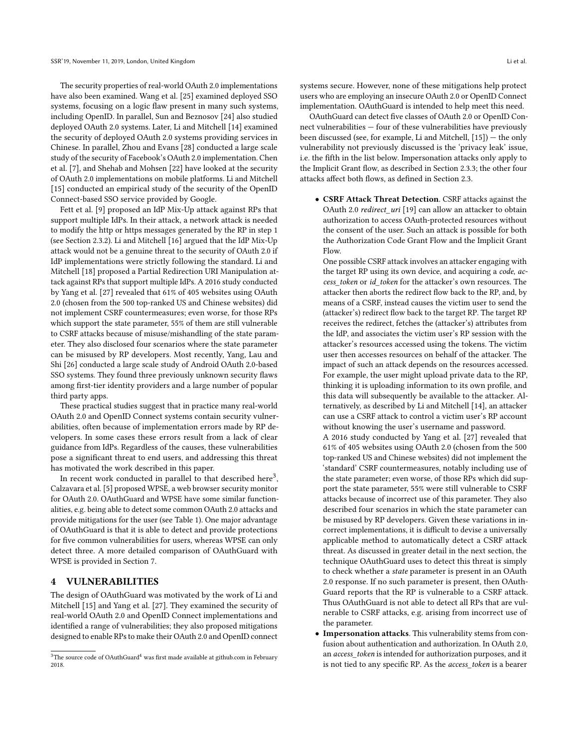The security properties of real-world OAuth 2.0 implementations have also been examined. Wang et al. [\[25\]](#page-8-13) examined deployed SSO systems, focusing on a logic flaw present in many such systems, including OpenID. In parallel, Sun and Beznosov [\[24\]](#page-8-14) also studied deployed OAuth 2.0 systems. Later, Li and Mitchell [\[14\]](#page-8-15) examined the security of deployed OAuth 2.0 systems providing services in Chinese. In parallel, Zhou and Evans [\[28\]](#page-8-16) conducted a large scale study of the security of Facebook's OAuth 2.0 implementation. Chen et al. [\[7\]](#page-8-17), and Shehab and Mohsen [\[22\]](#page-8-18) have looked at the security of OAuth 2.0 implementations on mobile platforms. Li and Mitchell [\[15\]](#page-8-19) conducted an empirical study of the security of the OpenID Connect-based SSO service provided by Google.

Fett et al. [\[9\]](#page-8-20) proposed an IdP Mix-Up attack against RPs that support multiple IdPs. In their attack, a network attack is needed to modify the http or https messages generated by the RP in step 1 (see Section [2.3.2\)](#page-2-2). Li and Mitchell [\[16\]](#page-8-21) argued that the IdP Mix-Up attack would not be a genuine threat to the security of OAuth 2.0 if IdP implementations were strictly following the standard. Li and Mitchell [\[18\]](#page-8-22) proposed a Partial Redirection URI Manipulation attack against RPs that support multiple IdPs. A 2016 study conducted by Yang et al. [\[27\]](#page-8-23) revealed that 61% of 405 websites using OAuth 2.0 (chosen from the 500 top-ranked US and Chinese websites) did not implement CSRF countermeasures; even worse, for those RPs which support the state parameter, 55% of them are still vulnerable to CSRF attacks because of misuse/mishandling of the state parameter. They also disclosed four scenarios where the state parameter can be misused by RP developers. Most recently, Yang, Lau and Shi [\[26\]](#page-8-24) conducted a large scale study of Android OAuth 2.0-based SSO systems. They found three previously unknown security flaws among first-tier identity providers and a large number of popular third party apps.

These practical studies suggest that in practice many real-world OAuth 2.0 and OpenID Connect systems contain security vulnerabilities, often because of implementation errors made by RP developers. In some cases these errors result from a lack of clear guidance from IdPs. Regardless of the causes, these vulnerabilities pose a significant threat to end users, and addressing this threat has motivated the work described in this paper.

In recent work conducted in parallel to that described here<sup>[3](#page-3-1)</sup>, Calzavara et al. [\[5\]](#page-8-25) proposed WPSE, a web browser security monitor for OAuth 2.0. OAuthGuard and WPSE have some similar functionalities, e.g. being able to detect some common OAuth 2.0 attacks and provide mitigations for the user (see Table [1\)](#page-7-0). One major advantage of OAuthGuard is that it is able to detect and provide protections for five common vulnerabilities for users, whereas WPSE can only detect three. A more detailed comparison of OAuthGuard with WPSE is provided in Section [7.](#page-6-1)

## <span id="page-3-0"></span>4 VULNERABILITIES

The design of OAuthGuard was motivated by the work of Li and Mitchell [\[15\]](#page-8-19) and Yang et al. [\[27\]](#page-8-23). They examined the security of real-world OAuth 2.0 and OpenID Connect implementations and identified a range of vulnerabilities; they also proposed mitigations designed to enable RPs to make their OAuth 2.0 and OpenID connect

systems secure. However, none of these mitigations help protect users who are employing an insecure OAuth 2.0 or OpenID Connect implementation. OAuthGuard is intended to help meet this need.

OAuthGuard can detect five classes of OAuth 2.0 or OpenID Connect vulnerabilities — four of these vulnerabilities have previously been discussed (see, for example, Li and Mitchell, [\[15\]](#page-8-19)) — the only vulnerability not previously discussed is the 'privacy leak' issue, i.e. the fifth in the list below. Impersonation attacks only apply to the Implicit Grant flow, as described in Section [2.3.3;](#page-2-3) the other four attacks affect both flows, as defined in Section [2.3.](#page-1-3)

• CSRF Attack Threat Detection. CSRF attacks against the OAuth 2.0 *redirect* uri [\[19\]](#page-8-4) can allow an attacker to obtain authorization to access OAuth-protected resources without the consent of the user. Such an attack is possible for both the Authorization Code Grant Flow and the Implicit Grant Flow.

One possible CSRF attack involves an attacker engaging with the target RP using its own device, and acquiring a code, access token or id token for the attacker's own resources. The attacker then aborts the redirect flow back to the RP, and, by means of a CSRF, instead causes the victim user to send the (attacker's) redirect flow back to the target RP. The target RP receives the redirect, fetches the (attacker's) attributes from the IdP, and associates the victim user's RP session with the attacker's resources accessed using the tokens. The victim user then accesses resources on behalf of the attacker. The impact of such an attack depends on the resources accessed. For example, the user might upload private data to the RP, thinking it is uploading information to its own profile, and this data will subsequently be available to the attacker. Alternatively, as described by Li and Mitchell [\[14\]](#page-8-15), an attacker can use a CSRF attack to control a victim user's RP account without knowing the user's username and password.

A 2016 study conducted by Yang et al. [\[27\]](#page-8-23) revealed that 61% of 405 websites using OAuth 2.0 (chosen from the 500 top-ranked US and Chinese websites) did not implement the 'standard' CSRF countermeasures, notably including use of the state parameter; even worse, of those RPs which did support the state parameter, 55% were still vulnerable to CSRF attacks because of incorrect use of this parameter. They also described four scenarios in which the state parameter can be misused by RP developers. Given these variations in incorrect implementations, it is difficult to devise a universally applicable method to automatically detect a CSRF attack threat. As discussed in greater detail in the next section, the technique OAuthGuard uses to detect this threat is simply to check whether a *state* parameter is present in an OAuth 2.0 response. If no such parameter is present, then OAuth-Guard reports that the RP is vulnerable to a CSRF attack. Thus OAuthGuard is not able to detect all RPs that are vulnerable to CSRF attacks, e.g. arising from incorrect use of the parameter.

• Impersonation attacks. This vulnerability stems from confusion about authentication and authorization. In OAuth 2.0, an access\_token is intended for authorization purposes, and it is not tied to any specific RP. As the access\_token is a bearer

<span id="page-3-1"></span> $3$ The source code of OAuthGuard<sup>[4](#page-0-1)</sup> was first made available at<github.com> in February 2018.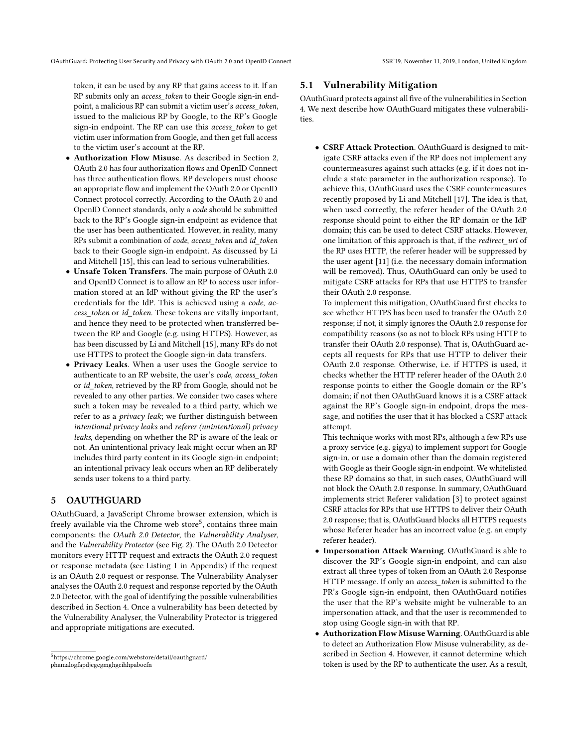token, it can be used by any RP that gains access to it. If an RP submits only an access\_token to their Google sign-in endpoint, a malicious RP can submit a victim user's access\_token, issued to the malicious RP by Google, to the RP's Google sign-in endpoint. The RP can use this access\_token to get victim user information from Google, and then get full access to the victim user's account at the RP.

- Authorization Flow Misuse. As described in Section [2,](#page-1-1) OAuth 2.0 has four authorization flows and OpenID Connect has three authentication flows. RP developers must choose an appropriate flow and implement the OAuth 2.0 or OpenID Connect protocol correctly. According to the OAuth 2.0 and OpenID Connect standards, only a code should be submitted back to the RP's Google sign-in endpoint as evidence that the user has been authenticated. However, in reality, many RPs submit a combination of code, access token and id token back to their Google sign-in endpoint. As discussed by Li and Mitchell [\[15\]](#page-8-19), this can lead to serious vulnerabilities.
- Unsafe Token Transfers. The main purpose of OAuth 2.0 and OpenID Connect is to allow an RP to access user information stored at an IdP without giving the RP the user's credentials for the IdP. This is achieved using a code, access\_token or id\_token. These tokens are vitally important, and hence they need to be protected when transferred between the RP and Google (e.g. using HTTPS). However, as has been discussed by Li and Mitchell [\[15\]](#page-8-19), many RPs do not use HTTPS to protect the Google sign-in data transfers.
- Privacy Leaks. When a user uses the Google service to authenticate to an RP website, the user's code, access token or id\_token, retrieved by the RP from Google, should not be revealed to any other parties. We consider two cases where such a token may be revealed to a third party, which we refer to as a privacy leak; we further distinguish between intentional privacy leaks and referer (unintentional) privacy leaks, depending on whether the RP is aware of the leak or not. An unintentional privacy leak might occur when an RP includes third party content in its Google sign-in endpoint; an intentional privacy leak occurs when an RP deliberately sends user tokens to a third party.

## <span id="page-4-0"></span>5 OAUTHGUARD

OAuthGuard, a JavaScript Chrome browser extension, which is freely available via the Chrome web store<sup>[5](#page-4-1)</sup>, contains three main components: the OAuth 2.0 Detector, the Vulnerability Analyser, and the Vulnerability Protector (see Fig. [2\)](#page-5-0). The OAuth 2.0 Detector monitors every HTTP request and extracts the OAuth 2.0 request or response metadata (see Listing [1](#page-8-26) in Appendix) if the request is an OAuth 2.0 request or response. The Vulnerability Analyser analyses the OAuth 2.0 request and response reported by the OAuth 2.0 Detector, with the goal of identifying the possible vulnerabilities described in Section [4.](#page-3-0) Once a vulnerability has been detected by the Vulnerability Analyser, the Vulnerability Protector is triggered and appropriate mitigations are executed.

#### <span id="page-4-2"></span>5.1 Vulnerability Mitigation

OAuthGuard protects against all five of the vulnerabilities in Section [4.](#page-3-0) We next describe how OAuthGuard mitigates these vulnerabilities.

• CSRF Attack Protection. OAuthGuard is designed to mitigate CSRF attacks even if the RP does not implement any countermeasures against such attacks (e.g. if it does not include a state parameter in the authorization response). To achieve this, OAuthGuard uses the CSRF countermeasures recently proposed by Li and Mitchell [\[17\]](#page-8-27). The idea is that, when used correctly, the referer header of the OAuth 2.0 response should point to either the RP domain or the IdP domain; this can be used to detect CSRF attacks. However, one limitation of this approach is that, if the redirect\_uri of the RP uses HTTP, the referer header will be suppressed by the user agent [\[11\]](#page-8-28) (i.e. the necessary domain information will be removed). Thus, OAuthGuard can only be used to mitigate CSRF attacks for RPs that use HTTPS to transfer their OAuth 2.0 response.

To implement this mitigation, OAuthGuard first checks to see whether HTTPS has been used to transfer the OAuth 2.0 response; if not, it simply ignores the OAuth 2.0 response for compatibility reasons (so as not to block RPs using HTTP to transfer their OAuth 2.0 response). That is, OAuthGuard accepts all requests for RPs that use HTTP to deliver their OAuth 2.0 response. Otherwise, i.e. if HTTPS is used, it checks whether the HTTP referer header of the OAuth 2.0 response points to either the Google domain or the RP's domain; if not then OAuthGuard knows it is a CSRF attack against the RP's Google sign-in endpoint, drops the message, and notifies the user that it has blocked a CSRF attack attempt.

This technique works with most RPs, although a few RPs use a proxy service (e.g. gigya) to implement support for Google sign-in, or use a domain other than the domain registered with Google as their Google sign-in endpoint. We whitelisted these RP domains so that, in such cases, OAuthGuard will not block the OAuth 2.0 response. In summary, OAuthGuard implements strict Referer validation [\[3\]](#page-8-29) to protect against CSRF attacks for RPs that use HTTPS to deliver their OAuth 2.0 response; that is, OAuthGuard blocks all HTTPS requests whose Referer header has an incorrect value (e.g. an empty referer header).

- Impersonation Attack Warning. OAuthGuard is able to discover the RP's Google sign-in endpoint, and can also extract all three types of token from an OAuth 2.0 Response HTTP message. If only an access\_token is submitted to the PR's Google sign-in endpoint, then OAuthGuard notifies the user that the RP's website might be vulnerable to an impersonation attack, and that the user is recommended to stop using Google sign-in with that RP.
- Authorization Flow Misuse Warning. OAuthGuard is able to detect an Authorization Flow Misuse vulnerability, as described in Section [4.](#page-3-0) However, it cannot determine which token is used by the RP to authenticate the user. As a result,

<span id="page-4-1"></span><sup>5</sup>[https://chrome.google.com/webstore/detail/oauthguard/](https://chrome.google.com/webstore/detail/oauthguard/phamalogfapdjegegmghgcihhpabocfn) [phamalogfapdjegegmghgcihhpabocfn](https://chrome.google.com/webstore/detail/oauthguard/phamalogfapdjegegmghgcihhpabocfn)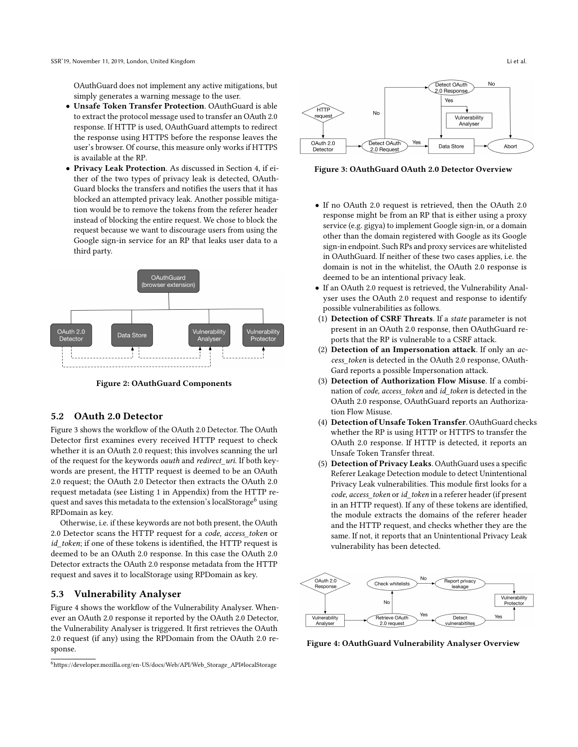OAuthGuard does not implement any active mitigations, but simply generates a warning message to the user.

- Unsafe Token Transfer Protection. OAuthGuard is able to extract the protocol message used to transfer an OAuth 2.0 response. If HTTP is used, OAuthGuard attempts to redirect the response using HTTPS before the response leaves the user's browser. Of course, this measure only works if HTTPS is available at the RP.
- Privacy Leak Protection. As discussed in Section [4,](#page-3-0) if either of the two types of privacy leak is detected, OAuth-Guard blocks the transfers and notifies the users that it has blocked an attempted privacy leak. Another possible mitigation would be to remove the tokens from the referer header instead of blocking the entire request. We chose to block the request because we want to discourage users from using the Google sign-in service for an RP that leaks user data to a third party.

<span id="page-5-0"></span>

Figure 2: OAuthGuard Components

#### 5.2 OAuth 2.0 Detector

Figure [3](#page-5-1) shows the workflow of the OAuth 2.0 Detector. The OAuth Detector first examines every received HTTP request to check whether it is an OAuth 2.0 request; this involves scanning the url of the request for the keywords *oauth* and *redirect* uri. If both keywords are present, the HTTP request is deemed to be an OAuth 2.0 request; the OAuth 2.0 Detector then extracts the OAuth 2.0 request metadata (see Listing [1](#page-8-26) in Appendix) from the HTTP re-quest and saves this metadata to the extension's localStorage<sup>[6](#page-5-2)</sup> using RPDomain as key.

Otherwise, i.e. if these keywords are not both present, the OAuth 2.0 Detector scans the HTTP request for a code, access\_token or id\_token; if one of these tokens is identified, the HTTP request is deemed to be an OAuth 2.0 response. In this case the OAuth 2.0 Detector extracts the OAuth 2.0 response metadata from the HTTP request and saves it to localStorage using RPDomain as key.

#### 5.3 Vulnerability Analyser

Figure [4](#page-5-3) shows the workflow of the Vulnerability Analyser. Whenever an OAuth 2.0 response it reported by the OAuth 2.0 Detector, the Vulnerability Analyser is triggered. It first retrieves the OAuth 2.0 request (if any) using the RPDomain from the OAuth 2.0 response.

<span id="page-5-1"></span>

Figure 3: OAuthGuard OAuth 2.0 Detector Overview

- If no OAuth 2.0 request is retrieved, then the OAuth 2.0 response might be from an RP that is either using a proxy service (e.g. gigya) to implement Google sign-in, or a domain other than the domain registered with Google as its Google sign-in endpoint. Such RPs and proxy services are whitelisted in OAuthGuard. If neither of these two cases applies, i.e. the domain is not in the whitelist, the OAuth 2.0 response is deemed to be an intentional privacy leak.
- If an OAuth 2.0 request is retrieved, the Vulnerability Analyser uses the OAuth 2.0 request and response to identify possible vulnerabilities as follows.
- (1) Detection of CSRF Threats. If a state parameter is not present in an OAuth 2.0 response, then OAuthGuard reports that the RP is vulnerable to a CSRF attack.
- (2) Detection of an Impersonation attack. If only an access\_token is detected in the OAuth 2.0 response, OAuth-Gard reports a possible Impersonation attack.
- (3) Detection of Authorization Flow Misuse. If a combination of code, access token and id token is detected in the OAuth 2.0 response, OAuthGuard reports an Authorization Flow Misuse.
- (4) Detection of Unsafe Token Transfer. OAuthGuard checks whether the RP is using HTTP or HTTPS to transfer the OAuth 2.0 response. If HTTP is detected, it reports an Unsafe Token Transfer threat.
- (5) Detection of Privacy Leaks. OAuthGuard uses a specific Referer Leakage Detection module to detect Unintentional Privacy Leak vulnerabilities. This module first looks for a code, access token or id token in a referer header (if present in an HTTP request). If any of these tokens are identified, the module extracts the domains of the referer header and the HTTP request, and checks whether they are the same. If not, it reports that an Unintentional Privacy Leak vulnerability has been detected.

<span id="page-5-3"></span>

Figure 4: OAuthGuard Vulnerability Analyser Overview

<span id="page-5-2"></span><sup>6</sup>[https://developer.mozilla.org/en-US/docs/Web/API/Web\\_Storage\\_API#localStorage](https://developer.mozilla.org/en-US/docs/Web/API/Web_Storage_API#localStorage)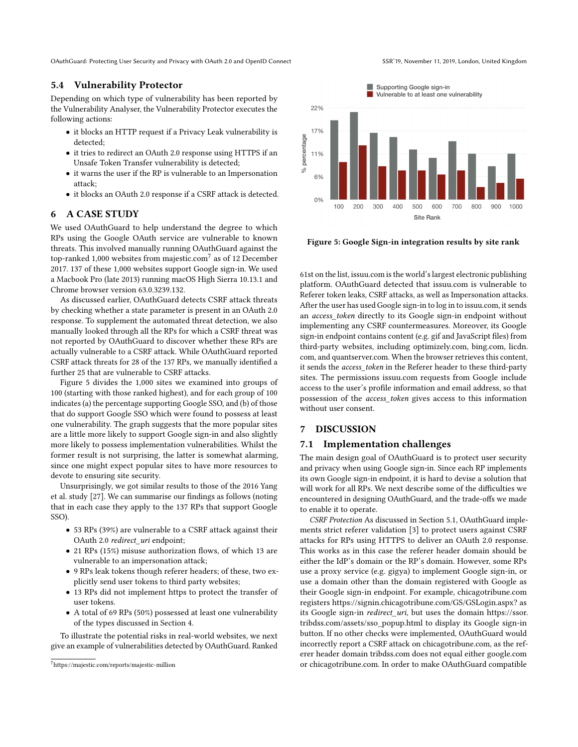OAuthGuard: Protecting User Security and Privacy with OAuth 2.0 and OpenID Connect SSR'19, November 11, 2019, London, United Kingdom

## 5.4 Vulnerability Protector

Depending on which type of vulnerability has been reported by the Vulnerability Analyser, the Vulnerability Protector executes the following actions:

- it blocks an HTTP request if a Privacy Leak vulnerability is detected;
- it tries to redirect an OAuth 2.0 response using HTTPS if an Unsafe Token Transfer vulnerability is detected;
- it warns the user if the RP is vulnerable to an Impersonation attack;
- it blocks an OAuth 2.0 response if a CSRF attack is detected.

#### <span id="page-6-0"></span>6 A CASE STUDY

We used OAuthGuard to help understand the degree to which RPs using the Google OAuth service are vulnerable to known threats. This involved manually running OAuthGuard against the top-ranked 1,000 websites from majestic.com $^7$  $^7$  as of 12 December 2017. 137 of these 1,000 websites support Google sign-in. We used a Macbook Pro (late 2013) running macOS High Sierra 10.13.1 and Chrome browser version 63.0.3239.132.

As discussed earlier, OAuthGuard detects CSRF attack threats by checking whether a state parameter is present in an OAuth 2.0 response. To supplement the automated threat detection, we also manually looked through all the RPs for which a CSRF threat was not reported by OAuthGuard to discover whether these RPs are actually vulnerable to a CSRF attack. While OAuthGuard reported CSRF attack threats for 28 of the 137 RPs, we manually identified a further 25 that are vulnerable to CSRF attacks.

Figure [5](#page-6-3) divides the 1,000 sites we examined into groups of 100 (starting with those ranked highest), and for each group of 100 indicates (a) the percentage supporting Google SSO, and (b) of those that do support Google SSO which were found to possess at least one vulnerability. The graph suggests that the more popular sites are a little more likely to support Google sign-in and also slightly more likely to possess implementation vulnerabilities. Whilst the former result is not surprising, the latter is somewhat alarming, since one might expect popular sites to have more resources to devote to ensuring site security.

Unsurprisingly, we got similar results to those of the 2016 Yang et al. study [\[27\]](#page-8-23). We can summarise our findings as follows (noting that in each case they apply to the 137 RPs that support Google SSO).

- 53 RPs (39%) are vulnerable to a CSRF attack against their OAuth 2.0 redirect\_uri endpoint;
- 21 RPs (15%) misuse authorization flows, of which 13 are vulnerable to an impersonation attack;
- 9 RPs leak tokens though referer headers; of these, two explicitly send user tokens to third party websites;
- 13 RPs did not implement https to protect the transfer of user tokens.
- A total of 69 RPs (50%) possessed at least one vulnerability of the types discussed in Section [4.](#page-3-0)

To illustrate the potential risks in real-world websites, we next give an example of vulnerabilities detected by OAuthGuard. Ranked

<span id="page-6-3"></span>Supporting Google sign-in Vulnerable to at least one vulnerability 22% 17% 11%  $6%$ 

Figure 5: Google Sign-in integration results by site rank

500

600

Site Rank

700

800

 $900$ 

61st on the list,<issuu.com> is the world's largest electronic publishing platform. OAuthGuard detected that<issuu.com> is vulnerable to Referer token leaks, CSRF attacks, as well as Impersonation attacks. After the user has used Google sign-in to log in to [issuu.com,](issuu.com) it sends an access\_token directly to its Google sign-in endpoint without implementing any CSRF countermeasures. Moreover, its Google sign-in endpoint contains content (e.g. gif and JavaScript files) from third-party websites, including [optimizely.com,](optimizely.com) [bing.com,](bing.com) [licdn.](licdn.com) [com,](licdn.com) and [quantserver.com.](quantserver.com) When the browser retrieves this content, it sends the access\_token in the Referer header to these third-party sites. The permissions<issuu.com> requests from Google include access to the user's profile information and email address, so that possession of the access\_token gives access to this information without user consent.

## <span id="page-6-1"></span>7 DISCUSSION

percentage

 $\leq$ 

 $0%$ 

200

100

300

400

#### 7.1 Implementation challenges

The main design goal of OAuthGuard is to protect user security and privacy when using Google sign-in. Since each RP implements its own Google sign-in endpoint, it is hard to devise a solution that will work for all RPs. We next describe some of the difficulties we encountered in designing OAuthGuard, and the trade-offs we made to enable it to operate.

CSRF Protection As discussed in Section [5.1,](#page-4-2) OAuthGuard implements strict referer validation [\[3\]](#page-8-29) to protect users against CSRF attacks for RPs using HTTPS to deliver an OAuth 2.0 response. This works as in this case the referer header domain should be either the IdP's domain or the RP's domain. However, some RPs use a proxy service (e.g. gigya) to implement Google sign-in, or use a domain other than the domain registered with Google as their Google sign-in endpoint. For example,<chicagotribune.com> registers<https://signin.chicagotribune.com/GS/GSLogin.aspx?> as its Google sign-in *redirect\_uri*, but uses the domain [https://ssor.](https://ssor.tribdss.com/assets/sso_popup.html) [tribdss.com/assets/sso\\_popup.html](https://ssor.tribdss.com/assets/sso_popup.html) to display its Google sign-in button. If no other checks were implemented, OAuthGuard would incorrectly report a CSRF attack on [chicagotribune.com,](chicagotribune.com) as the referer header domain<tribdss.com> does not equal either<google.com> or [chicagotribune.com.](chicagotribune.com) In order to make OAuthGuard compatible

<span id="page-6-2"></span><sup>7</sup><https://majestic.com/reports/majestic-million>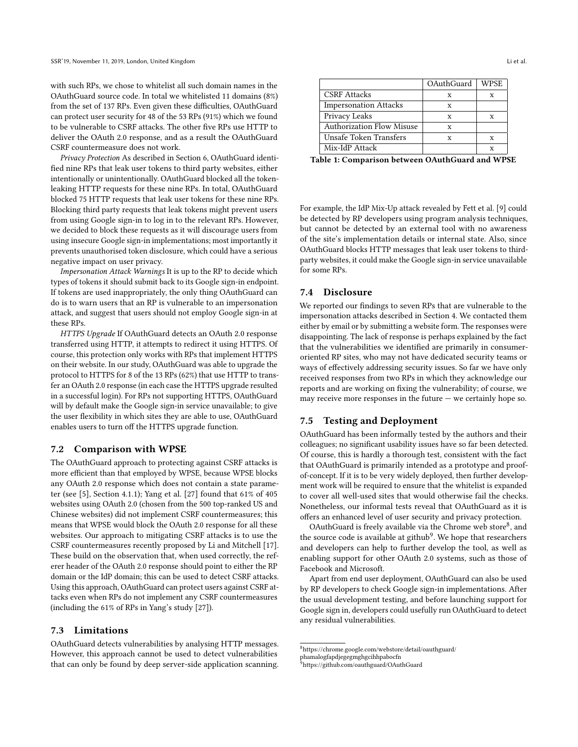with such RPs, we chose to whitelist all such domain names in the OAuthGuard source code. In total we whitelisted 11 domains (8%) from the set of 137 RPs. Even given these difficulties, OAuthGuard can protect user security for 48 of the 53 RPs (91%) which we found to be vulnerable to CSRF attacks. The other five RPs use HTTP to deliver the OAuth 2.0 response, and as a result the OAuthGuard CSRF countermeasure does not work.

Privacy Protection As described in Section [6,](#page-6-0) OAuthGuard identified nine RPs that leak user tokens to third party websites, either intentionally or unintentionally. OAuthGuard blocked all the tokenleaking HTTP requests for these nine RPs. In total, OAuthGuard blocked 75 HTTP requests that leak user tokens for these nine RPs. Blocking third party requests that leak tokens might prevent users from using Google sign-in to log in to the relevant RPs. However, we decided to block these requests as it will discourage users from using insecure Google sign-in implementations; most importantly it prevents unauthorised token disclosure, which could have a serious negative impact on user privacy.

Impersonation Attack Warnings It is up to the RP to decide which types of tokens it should submit back to its Google sign-in endpoint. If tokens are used inappropriately, the only thing OAuthGuard can do is to warn users that an RP is vulnerable to an impersonation attack, and suggest that users should not employ Google sign-in at these RPs.

HTTPS Upgrade If OAuthGuard detects an OAuth 2.0 response transferred using HTTP, it attempts to redirect it using HTTPS. Of course, this protection only works with RPs that implement HTTPS on their website. In our study, OAuthGuard was able to upgrade the protocol to HTTPS for 8 of the 13 RPs (62%) that use HTTP to transfer an OAuth 2.0 response (in each case the HTTPS upgrade resulted in a successful login). For RPs not supporting HTTPS, OAuthGuard will by default make the Google sign-in service unavailable; to give the user flexibility in which sites they are able to use, OAuthGuard enables users to turn off the HTTPS upgrade function.

#### 7.2 Comparison with WPSE

The OAuthGuard approach to protecting against CSRF attacks is more efficient than that employed by WPSE, because WPSE blocks any OAuth 2.0 response which does not contain a state parameter (see [\[5\]](#page-8-25), Section 4.1.1); Yang et al. [\[27\]](#page-8-23) found that 61% of 405 websites using OAuth 2.0 (chosen from the 500 top-ranked US and Chinese websites) did not implement CSRF countermeasures; this means that WPSE would block the OAuth 2.0 response for all these websites. Our approach to mitigating CSRF attacks is to use the CSRF countermeasures recently proposed by Li and Mitchell [\[17\]](#page-8-27). These build on the observation that, when used correctly, the referer header of the OAuth 2.0 response should point to either the RP domain or the IdP domain; this can be used to detect CSRF attacks. Using this approach, OAuthGuard can protect users against CSRF attacks even when RPs do not implement any CSRF countermeasures (including the 61% of RPs in Yang's study [\[27\]](#page-8-23)).

#### 7.3 Limitations

OAuthGuard detects vulnerabilities by analysing HTTP messages. However, this approach cannot be used to detect vulnerabilities that can only be found by deep server-side application scanning.

<span id="page-7-0"></span>

|                                  | OAuthGuard | <b>WPSE</b> |
|----------------------------------|------------|-------------|
| <b>CSRF</b> Attacks              |            | x           |
| <b>Impersonation Attacks</b>     | x          |             |
| Privacy Leaks                    |            | x           |
| <b>Authorization Flow Misuse</b> |            |             |
| Unsafe Token Transfers           | x          | x           |
| Mix-IdP Attack                   |            |             |

Table 1: Comparison between OAuthGuard and WPSE

For example, the IdP Mix-Up attack revealed by Fett et al. [\[9\]](#page-8-20) could be detected by RP developers using program analysis techniques, but cannot be detected by an external tool with no awareness of the site's implementation details or internal state. Also, since OAuthGuard blocks HTTP messages that leak user tokens to thirdparty websites, it could make the Google sign-in service unavailable for some RPs.

## 7.4 Disclosure

We reported our findings to seven RPs that are vulnerable to the impersonation attacks described in Section [4.](#page-3-0) We contacted them either by email or by submitting a website form. The responses were disappointing. The lack of response is perhaps explained by the fact that the vulnerabilities we identified are primarily in consumeroriented RP sites, who may not have dedicated security teams or ways of effectively addressing security issues. So far we have only received responses from two RPs in which they acknowledge our reports and are working on fixing the vulnerability; of course, we may receive more responses in the future  $-$  we certainly hope so.

## 7.5 Testing and Deployment

OAuthGuard has been informally tested by the authors and their colleagues; no significant usability issues have so far been detected. Of course, this is hardly a thorough test, consistent with the fact that OAuthGuard is primarily intended as a prototype and proofof-concept. If it is to be very widely deployed, then further development work will be required to ensure that the whitelist is expanded to cover all well-used sites that would otherwise fail the checks. Nonetheless, our informal tests reveal that OAuthGuard as it is offers an enhanced level of user security and privacy protection.

OAuthGuard is freely available via the Chrome web store<sup>[8](#page-7-1)</sup>, and the source code is available at github<sup>[9](#page-7-2)</sup>. We hope that researchers and developers can help to further develop the tool, as well as enabling support for other OAuth 2.0 systems, such as those of Facebook and Microsoft.

Apart from end user deployment, OAuthGuard can also be used by RP developers to check Google sign-in implementations. After the usual development testing, and before launching support for Google sign in, developers could usefully run OAuthGuard to detect any residual vulnerabilities.

<span id="page-7-1"></span> $^{8}$ [https://chrome.google.com/webstore/detail/oauthguard/](https://chrome.google.com/webstore/detail/oauthguard/phamalogfapdjegegmghgcihhpabocfn)

[phamalogfapdjegegmghgcihhpabocfn](https://chrome.google.com/webstore/detail/oauthguard/phamalogfapdjegegmghgcihhpabocfn)

<span id="page-7-2"></span><sup>&</sup>lt;sup>9</sup><https://github.com/oauthguard/OAuthGuard>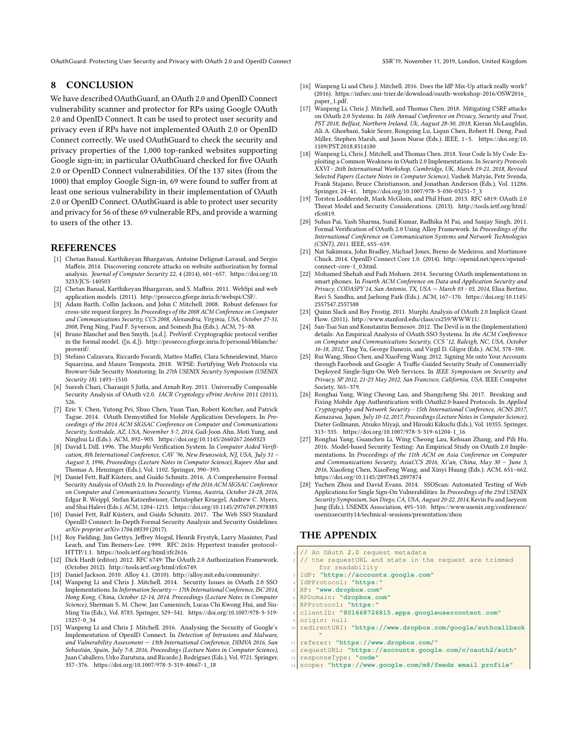OAuthGuard: Protecting User Security and Privacy with OAuth 2.0 and OpenID Connect SSR'19, November 11, 2019, London, United Kingdom

## <span id="page-8-1"></span>8 CONCLUSION

We have described OAuthGuard, an OAuth 2.0 and OpenID Connect vulnerability scanner and protector for RPs using Google OAuth 2.0 and OpenID Connect. It can be used to protect user security and privacy even if RPs have not implemented OAuth 2.0 or OpenID Connect correctly. We used OAuthGuard to check the security and privacy properties of the 1,000 top-ranked websites supporting Google sign-in; in particular OAuthGuard checked for five OAuth 2.0 or OpenID Connect vulnerabilities. Of the 137 sites (from the 1000) that employ Google Sign-in, 69 were found to suffer from at least one serious vulnerability in their implementation of OAuth 2.0 or OpenID Connect. OAuthGuard is able to protect user security and privacy for 56 of these 69 vulnerable RPs, and provide a warning to users of the other 13.

## **REFERENCES**

- <span id="page-8-9"></span>[1] Chetan Bansal, Karthikeyan Bhargavan, Antoine Delignat-Lavaud, and Sergio Maffeis. 2014. Discovering concrete attacks on website authorization by formal analysis. Journal of Computer Security 22, 4 (2014), 601–657. [https://doi.org/10.](https://doi.org/10.3233/JCS-140503) [3233/JCS-140503](https://doi.org/10.3233/JCS-140503)
- <span id="page-8-10"></span>[2] Chetan Bansal, Karthikeyan Bhargavan, and S. Maffeis. 2011. WebSpi and web application models. (2011). [http://prosecco.gforge.inria.fr/webspi/CSF/.](http://prosecco.gforge.inria.fr/webspi/CSF/)
- <span id="page-8-29"></span>[3] Adam Barth, Collin Jackson, and John C Mitchell. 2008. Robust defenses for cross-site request forgery. In Proceedings of the 2008 ACM Conference on Computer and Communications Security, CCS 2008, Alexandria, Virginia, USA, October 27-31, 2008, Peng Ning, Paul F. Syverson, and Somesh Jha (Eds.). ACM, 75–88.
- <span id="page-8-11"></span>[4] Bruno Blanchet and Ben Smyth. [n.d.]. ProVerif: Cryptographic protocol verifier in the formal model. ([n. d.]). [http://prosecco.gforge.inria.fr/personal/bblanche/](http://prosecco.gforge.inria.fr/personal/bblanche/proverif/) [proverif/.](http://prosecco.gforge.inria.fr/personal/bblanche/proverif/)
- <span id="page-8-25"></span>[5] Stefano Calzavara, Riccardo Focardi, Matteo Maffei, Clara Schneidewind, Marco Squarcina, and Mauro Tempesta. 2018. WPSE: Fortifying Web Protocols via Browser-Side Security Monitoring. In 27th USENIX Security Symposium (USENIX Security 18). 1493–1510.
- <span id="page-8-6"></span>[6] Suresh Chari, Charanjit S Jutla, and Arnab Roy. 2011. Universally Composable Security Analysis of OAuth v2.0. IACR Cryptology ePrint Archive 2011 (2011), 526.
- <span id="page-8-17"></span>[7] Eric Y. Chen, Yutong Pei, Shuo Chen, Yuan Tian, Robert Kotcher, and Patrick Tague. 2014. OAuth Demystified for Mobile Application Developers. In Proceedings of the 2014 ACM SIGSAC Conference on Computer and Communications Security, Scottsdale, AZ, USA, November 3-7, 2014, Gail-Joon Ahn, Moti Yung, and Ninghui Li (Eds.). ACM, 892–903.<https://doi.org/10.1145/2660267.2660323>
- <span id="page-8-8"></span>[8] David L Dill. 1996. The Murphi Verification System. In Computer Aided Verification, 8th International Conference, CAV '96, New Brunswick, NJ, USA, July 31 -August 3, 1996, Proceedings (Lecture Notes in Computer Science), Rajeev Alur and Thomas A. Henzinger (Eds.), Vol. 1102. Springer, 390–393.
- <span id="page-8-20"></span>[9] Daniel Fett, Ralf Küsters, and Guido Schmitz. 2016. A Comprehensive Formal Security Analysis of OAuth 2.0. In Proceedings of the 2016 ACM SIGSAC Conference on Computer and Communications Security, Vienna, Austria, October 24-28, 2016, Edgar R. Weippl, Stefan Katzenbeisser, Christopher Kruegel, Andrew C. Myers, and Shai Halevi (Eds.). ACM, 1204–1215.<https://doi.org/10.1145/2976749.2978385>
- <span id="page-8-12"></span>[10] Daniel Fett, Ralf Küsters, and Guido Schmitz. 2017. The Web SSO Standard OpenID Connect: In-Depth Formal Security Analysis and Security Guidelines. arXiv preprint arXiv:1704.08539 (2017).
- <span id="page-8-28"></span>[11] Roy Fielding, Jim Gettys, Jeffrey Mogul, Henrik Frystyk, Larry Masinter, Paul Leach, and Tim Berners-Lee. 1999. RFC 2616: Hypertext transfer protocol– HTTP/1.1. [https://tools.ietf.org/html/rfc2616.](https://tools.ietf.org/html/rfc2616)
- <span id="page-8-0"></span>[12] Dick Hardt (editor). 2012. RFC 6749: The OAuth 2.0 Authorization Framework. (October 2012). [http://tools.ietf.org/html/rfc6749.](http://tools.ietf.org/html/rfc6749)
- <span id="page-8-5"></span>[13] Daniel Jackson. 2010. Alloy 4.1. (2010). [http://alloy.mit.edu/community/.](http://alloy.mit.edu/community/)
- <span id="page-8-15"></span>[14] Wanpeng Li and Chris J. Mitchell. 2014. Security Issues in OAuth 2.0 SSO Implementations. In Information Security — 17th International Conference, ISC 2014, Hong Kong, China, October 12-14, 2014. Proceedings (Lecture Notes in Computer Science), Sherman S. M. Chow, Jan Camenisch, Lucas Chi Kwong Hui, and Siu-Ming Yiu (Eds.), Vol. 8783. Springer, 529–541. [https://doi.org/10.1007/978-3-319-](https://doi.org/10.1007/978-3-319-13257-0_34) [13257-0\\_34](https://doi.org/10.1007/978-3-319-13257-0_34)
- <span id="page-8-19"></span>[15] Wanpeng Li and Chris J. Mitchell. 2016. Analysing the Security of Google's Implementation of OpenID Connect. In Detection of Intrusions and Malware, and Vulnerability Assessment — 13th International Conference, DIMVA 2016, San Sebastián, Spain, July 7-8, 2016, Proceedings (Lecture Notes in Computer Science), Juan Caballero, Urko Zurutuza, and Ricardo J. Rodríguez (Eds.), Vol. 9721. Springer, 357–376. [https://doi.org/10.1007/978-3-319-40667-1\\_18](https://doi.org/10.1007/978-3-319-40667-1_18)
- <span id="page-8-21"></span>[16] Wanpeng Li and Chris J. Mitchell. 2016. Does the IdP Mix-Up attack really work? (2016). [https://infsec.uni-trier.de/download/oauth-workshop-2016/OSW2016\\_](https://infsec.uni-trier.de/download/oauth-workshop-2016/OSW2016_paper_1.pdf) [paper\\_1.pdf.](https://infsec.uni-trier.de/download/oauth-workshop-2016/OSW2016_paper_1.pdf)
- <span id="page-8-27"></span>[17] Wanpeng Li, Chris J. Mitchell, and Thomas Chen. 2018. Mitigating CSRF attacks on OAuth 2.0 Systems. In 16th Annual Conference on Privacy, Security and Trust, PST 2018, Belfast, Northern Ireland, Uk, August 28-30, 2018, Kieran McLaughlin, Ali A. Ghorbani, Sakir Sezer, Rongxing Lu, Liqun Chen, Robert H. Deng, Paul Miller, Stephen Marsh, and Jason Nurse (Eds.). IEEE, 1–5. [https://doi.org/10.](https://doi.org/10.1109/PST.2018.8514180) [1109/PST.2018.8514180](https://doi.org/10.1109/PST.2018.8514180)
- <span id="page-8-22"></span>[18] Wanpeng Li, Chris J. Mitchell, and Thomas Chen. 2018. Your Code Is My Code: Exploiting a Common Weakness in OAuth 2.0 Implementations. In Security Protocols XXVI - 26th International Workshop, Cambridge, UK, March 19-21, 2018, Revised Selected Papers (Lecture Notes in Computer Science), Vashek Matyás, Petr Svenda, Frank Stajano, Bruce Christianson, and Jonathan Anderson (Eds.), Vol. 11286. Springer, 24–41. [https://doi.org/10.1007/978-3-030-03251-7\\_3](https://doi.org/10.1007/978-3-030-03251-7_3)
- <span id="page-8-4"></span>[19] Torsten Lodderstedt, Mark McGloin, and Phil Hunt. 2013. RFC 6819: OAuth 2.0 Threat Model and Security Considerations. (2013). [http://tools.ietf.org/html/](http://tools.ietf.org/html/rfc6819) [rfc6819.](http://tools.ietf.org/html/rfc6819)
- <span id="page-8-3"></span>[20] Suhas Pai, Yash Sharma, Sunil Kumar, Radhika M Pai, and Sanjay Singh. 2011. Formal Verification of OAuth 2.0 Using Alloy Framework. In Proceedings of the International Conference on Communication Systems and Network Technologies (CSNT), 2011. IEEE, 655–659.
- <span id="page-8-2"></span>[21] Nat Sakimura, John Bradley, Michael Jones, Breno de Medeiros, and Mortimore Chuck. 2014. OpenID Connect Core 1.0. (2014). [http://openid.net/specs/openid](http://openid.net/specs/openid-connect-core-1_0.html)[connect-core-1\\_0.html.](http://openid.net/specs/openid-connect-core-1_0.html)
- <span id="page-8-18"></span>[22] Mohamed Shehab and Fadi Mohsen. 2014. Securing OAuth implementations in smart phones. In Fourth ACM Conference on Data and Application Security and Privacy, CODASPY'14, San Antonio, TX, USA — March 03 - 05, 2014, Elisa Bertino, Ravi S. Sandhu, and Jaehong Park (Eds.). ACM, 167–170. [https://doi.org/10.1145/](https://doi.org/10.1145/2557547.2557588) [2557547.2557588](https://doi.org/10.1145/2557547.2557588)
- <span id="page-8-7"></span>[23] Quinn Slack and Roy Frostig. 2011. Murphi Analysis of OAuth 2.0 Implicit Grant Flow. (2011). [http://www.stanford.edu/class/cs259/WWW11/.](http://www.stanford.edu/class/cs259/WWW11/)
- <span id="page-8-14"></span>[24] San-Tsai Sun and Konstantin Beznosov. 2012. The Devil is in the (Implementation) details: An Empirical Analysis of OAuth SSO Systems. In the ACM Conference on Computer and Communications Security, CCS '12, Raleigh, NC, USA, October 16-18, 2012, Ting Yu, George Danezis, and Virgil D. Gligor (Eds.). ACM, 378–390.
- <span id="page-8-13"></span>[25] Rui Wang, Shuo Chen, and XiaoFeng Wang. 2012. Signing Me onto Your Accounts through Facebook and Google: A Traffic-Guided Security Study of Commercially Deployed Single-Sign-On Web Services. In IEEE Symposium on Security and Privacy, SP 2012, 21-23 May 2012, San Francisco, California, USA. IEEE Computer Society, 365–379.
- <span id="page-8-24"></span>[26] Ronghai Yang, Wing Cheong Lau, and Shangcheng Shi. 2017. Breaking and Fixing Mobile App Authentication with OAuth2.0-based Protocols. In Applied Cryptography and Network Security - 15th International Conference, ACNS 2017, Kanazawa, Japan, July 10-12, 2017, Proceedings (Lecture Notes in Computer Science), Dieter Gollmann, Atsuko Miyaji, and Hiroaki Kikuchi (Eds.), Vol. 10355. Springer, 313–335. [https://doi.org/10.1007/978-3-319-61204-1\\_16](https://doi.org/10.1007/978-3-319-61204-1_16)
- <span id="page-8-23"></span>[27] Ronghai Yang, Guanchen Li, Wing Cheong Lau, Kehuan Zhang, and Pili Hu. 2016. Model-based Security Testing: An Empirical Study on OAuth 2.0 Implementations. In Proceedings of the 11th ACM on Asia Conference on Computer and Communications Security, AsiaCCS 2016, Xi'an, China, May 30 – June 3, 2016, Xiaofeng Chen, XiaoFeng Wang, and Xinyi Huang (Eds.). ACM, 651–662. <https://doi.org/10.1145/2897845.2897874>
- <span id="page-8-16"></span>[28] Yuchen Zhou and David Evans. 2014. SSOScan: Automated Testing of Web Applications for Single Sign-On Vulnerabilities. In Proceedings of the 23rd USENIX Security Symposium, San Diego, CA, USA, August 20-22, 2014, Kevin Fu and Jaeyeon Jung (Eds.). USENIX Association, 495–510. [https://www.usenix.org/conference/](https://www.usenix.org/conference/usenixsecurity14/technical-sessions/presentation/zhou) [usenixsecurity14/technical-sessions/presentation/zhou](https://www.usenix.org/conference/usenixsecurity14/technical-sessions/presentation/zhou)

## THE APPENDIX

- <span id="page-8-26"></span>An OAuth 2.0 request metadata
- the requestURL and state in the request are trimmed for readability
- <sup>3</sup> IdP: **"https://accounts.google.com"**
- <sup>4</sup> IdPProtocol: **"https:"**
- <sup>5</sup> RP: **"www.dropbox.com"**
- <sup>6</sup> RPDomain: **"dropbox.com"**
- <sup>7</sup> RPProtocol: **"https:"**
- <sup>8</sup> clientID: **"801668726815.apps.googleusercontent.com"**
- origin: null
- <sup>10</sup> redirectURI: **"https://www.dropbox.com/google/authcallback "**
- <sup>11</sup> referer: **"https://www.dropbox.com/"**
- <sup>12</sup> requestURL: **"https://accounts.google.com/o/oauth2/auth"**
- <sup>13</sup> responseType: **"code"**
- <sup>14</sup> scope: **"https://www.google.com/m8/feeds email profile"**